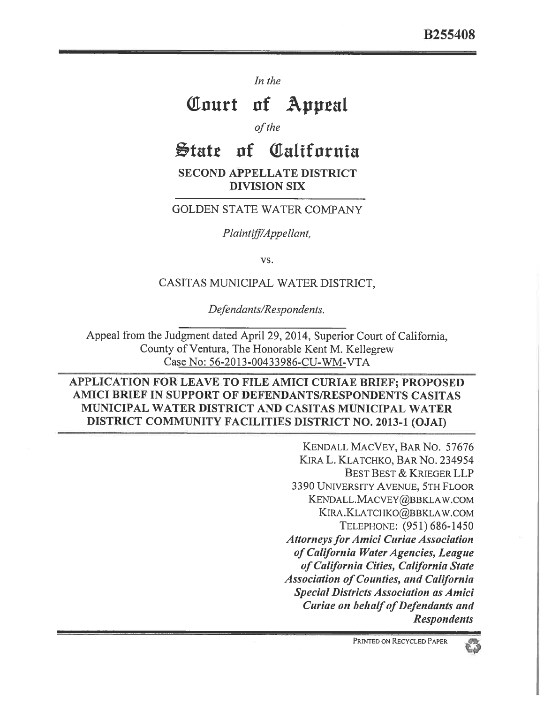*In the* 

# **Tourt of Appeal**

*of the* 

# **'tats of Tatifornia**

**SECOND APPELLATE DISTRICT DIVISION SIX** 

#### GOLDEN STATE WATER COMPANY

*Plaintiff/Appellant,* 

*vs.* 

#### CASITAS MUNICIPAL WATER DISTRICT,

*Defendants/Respondents.* 

Appeal from the Judgment dated April 29, 2014, Superior Court of California, County of Ventura, The Honorable Kent M. Kellegrew Case No: 56-2013-00433986-CU-WM-VTA

### **APPLICATION FOR LEAVE TO FILE AMICI CURIAE BRIEF; PROPOSED AMICI BRIEF IN SUPPORT OF DEFENDANTS/RESPONDENTS CASITAS MUNICIPAL WATER DISTRICT AND CASITAS MUNICIPAL WATER DISTRICT COMMUNITY FACILITIES DISTRICT NO. 2013-1 (OJAI)**

KENDALL MACVEY, BAR No. 57676 KIRA L. KLATCHKO, BAR No. 234954 BEST BEST & KRIEGER LLP 3390 UNIVERSITY AVENUE, 5TH FLOOR KENDALL.MACVEY@BBKLAW.COM KIRA.KLATCHKO@BBKLAW.COM TELEPHONE: (951) 686-1450 *Attorneys for Amici Curiae Association of California Water Agencies, League of California Cities, California State Association of Counties, and California Special Districts Association as Amici Curiae on behalf of Defendants and Respondents* 

63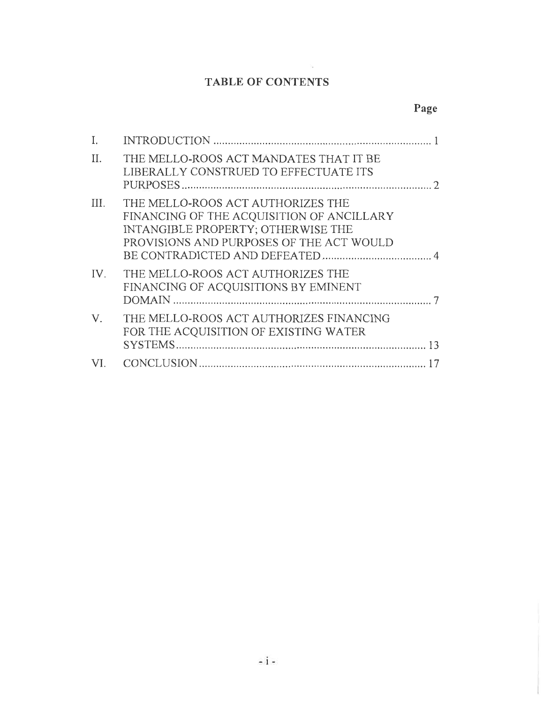## TABLE OF CONTENTS

# Page

| L           |                                                                                                                                                                  |
|-------------|------------------------------------------------------------------------------------------------------------------------------------------------------------------|
| II.         | THE MELLO-ROOS ACT MANDATES THAT IT BE<br>LIBERALLY CONSTRUED TO EFFECTUATE ITS<br>$\mathcal{D}$                                                                 |
| III.        | THE MELLO-ROOS ACT AUTHORIZES THE<br>FINANCING OF THE ACQUISITION OF ANCILLARY<br>INTANGIBLE PROPERTY; OTHERWISE THE<br>PROVISIONS AND PURPOSES OF THE ACT WOULD |
| IV.         | THE MELLO-ROOS ACT AUTHORIZES THE<br>FINANCING OF ACQUISITIONS BY EMINENT                                                                                        |
| $V_{\cdot}$ | THE MELLO-ROOS ACT AUTHORIZES FINANCING<br>FOR THE ACQUISITION OF EXISTING WATER<br>13                                                                           |
| VI.         |                                                                                                                                                                  |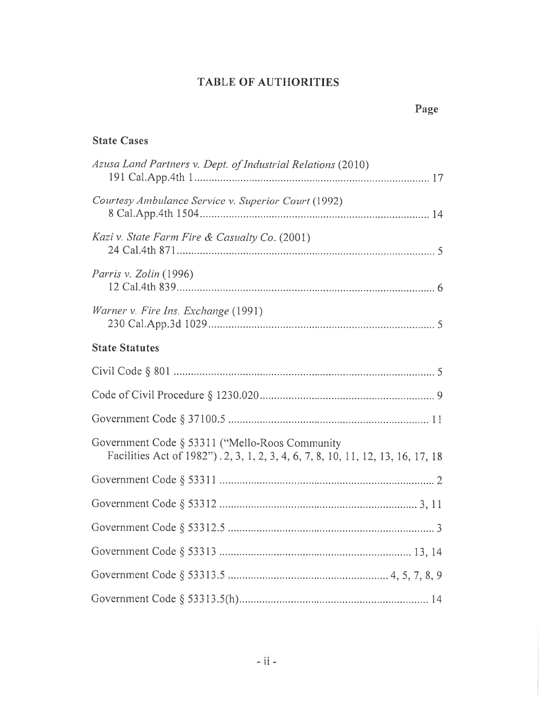### **TABLE OF AUTHORITIES**

### **State Cases**

| Azusa Land Partners v. Dept. of Industrial Relations (2010)                                                                       |
|-----------------------------------------------------------------------------------------------------------------------------------|
| Courtesy Ambulance Service v. Superior Court (1992)                                                                               |
| Kazi v. State Farm Fire & Casualty Co. (2001)                                                                                     |
| Parris v. Zolin (1996)                                                                                                            |
| Warner v. Fire Ins. Exchange (1991)                                                                                               |
| <b>State Statutes</b>                                                                                                             |
|                                                                                                                                   |
|                                                                                                                                   |
|                                                                                                                                   |
| Government Code § 53311 ("Mello-Roos Community<br>Facilities Act of 1982"). 2, 3, 1, 2, 3, 4, 6, 7, 8, 10, 11, 12, 13, 16, 17, 18 |
|                                                                                                                                   |
|                                                                                                                                   |
|                                                                                                                                   |
|                                                                                                                                   |
|                                                                                                                                   |
|                                                                                                                                   |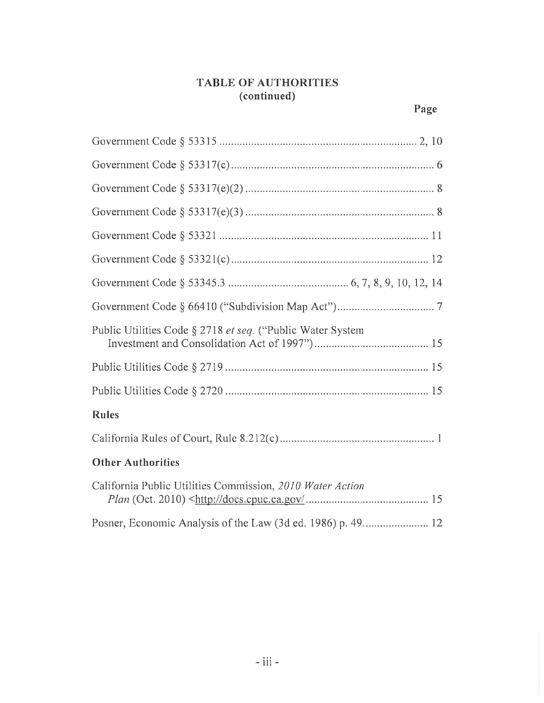### **TABLE OF AUTHORITIES (continued)**

| Public Utilities Code § 2718 et seq. ("Public Water System" |  |  |
|-------------------------------------------------------------|--|--|
|                                                             |  |  |
|                                                             |  |  |
| <b>Rules</b>                                                |  |  |
|                                                             |  |  |
| <b>Other Authorities</b>                                    |  |  |
| California Public Utilities Commission, 2010 Water Action   |  |  |
|                                                             |  |  |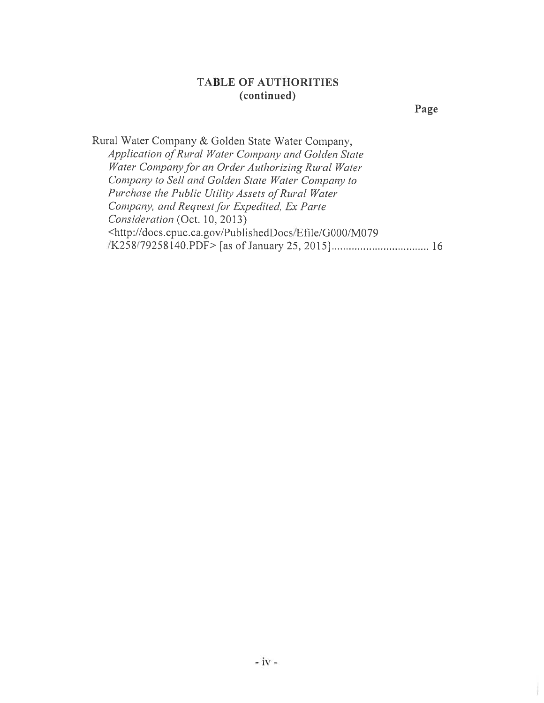#### **TABLE OF AUTHORITIES (continued)**

**Page** 

Rural Water Company *&* Golden State Water Company, *Application of Rural Water Company and Golden State Water Company for an Order Authorizing Rural Water Company to Sell and Golden State Water Company to Purchase the Public Utility Assets of Rural Water Company, and Request for Expedited, Ex Parte Consideration* (Oct. 10, 2013) <http://docs.cpuc.ca.gov/PublishedDocs/Efile/G000/M079 /K258/79258140.PDF> [as of January 25, 2015]................................... 16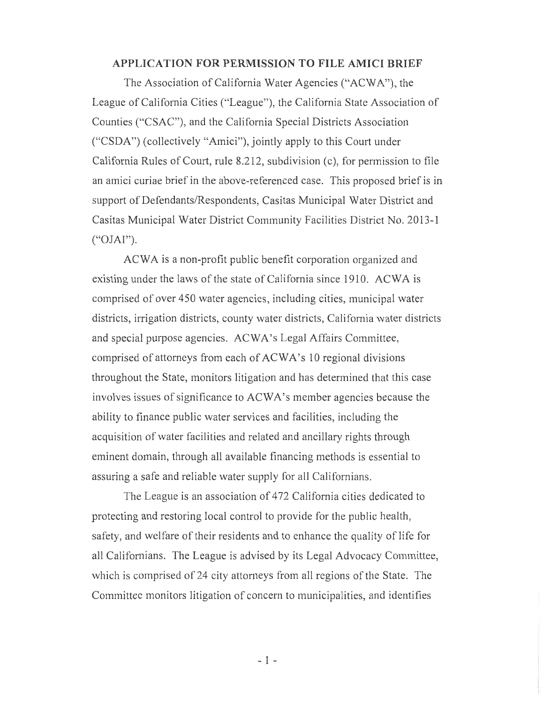#### **APPLICATION FOR PERMISSION TO FILE AMICI BRIEF**

The Association of California Water Agencies ("ACWA"), the League of California Cities ("League"), the California State Association of Counties ("CSAC"), and the California Special Districts Association ("CSDA") (collectively "Amici"), jointly apply to this Court under California Rules of Court, rule 8.212, subdivision (c), for permission to file an amici curiae brief in the above-referenced case. This proposed brief is in support of Defendants/Respondents, Casitas Municipal Water District and Casitas Municipal Water District Community Facilities District No. 2013-1 ("OJAI").

ACWA is a non-profit public benefit corporation organized and existing under the laws of the state of California since 1910. ACWA is comprised of over 450 water agencies, including cities, municipal water districts, irrigation districts, county water districts, California water districts and special purpose agencies. ACWA's Legal Affairs Committee, comprised of attorneys from each of ACWA's 10 regional divisions throughout the State, monitors litigation **and** has **determined that this** case involves issues of significance to ACWA's member agencies because the ability to finance public water services and facilities, including the acquisition of water facilities and related and ancillary rights through eminent domain, through all available financing methods is essential to assuring a safe and reliable water supply for all Californians.

The League is an association of 472 California cities dedicated to protecting and restoring local control to provide for the public health, safety, **and** welfare of their residents and to enhance the quality of life for all Californians. The League is advised by its Legal Advocacy Committee, which is comprised of 24 city attorneys from all regions of the State. The Committee monitors litigation of concern to municipalities, and identifies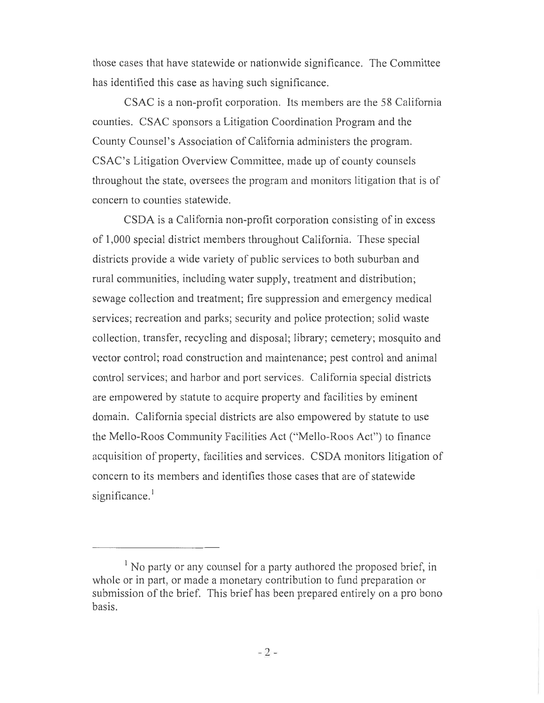those cases that have statewide or nationwide significance. The Committee has identified this case as having such significance.

CSAC is a non-profit corporation. Its members are the 58 California counties. CSAC sponsors a Litigation Coordination Program and the County Counsel's Association of California administers the program. CSAC's Litigation Overview Committee, made up of county counsels throughout the state, oversees the program and monitors litigation that is of concern to counties statewide.

CSDA is a California non-profit corporation consisting of in excess of 1,000 special district members throughout California. These special districts provide a wide variety of public services to both suburban and rural communities, including water supply, treatment and distribution; sewage collection and treatment; fire suppression and emergency medical services; recreation and parks; security and police protection; solid waste collection, transfer, recycling and disposal; library; cemetery; mosquito and vector control; road construction and maintenance; pest control and animal control services; and harbor and port services. California special districts are empowered by statute to acquire property and facilities by eminent domain. California special districts are also empowered by statute to use the Mello-Roos Community Facilities Act ("Mello-Roos Act") to finance acquisition of property, facilities and services. CSDA monitors litigation of concern to its members and identifies those cases that are of statewide significance.<sup>1</sup>

 $<sup>1</sup>$  No party or any counsel for a party authored the proposed brief, in</sup> whole or in part, or made a monetary contribution to fund preparation or submission of the brief. This brief has been prepared entirely on a pro bono basis.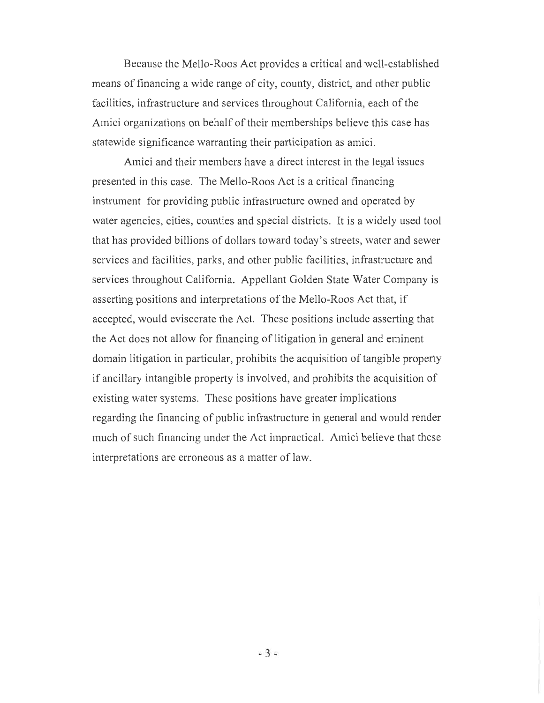Because the Mello-Roos Act provides a critical and well-established means of financing a wide range of city, county, district, and other public facilities, infrastructure and services throughout California, each of the Amici organizations on behalf of their memberships believe this case has statewide significance warranting their participation as amici.

Amici and their members have a direct interest in the legal issues presented in this case. The Mello-Roos Act is a critical financing instrument for providing public infrastructure owned and operated by water agencies, cities, counties and special districts. It is a widely used tool that has provided billions of dollars toward today's streets, water and sewer services and facilities, parks, and other public facilities, infrastructure and services throughout California. Appellant Golden State Water Company is asserting positions and interpretations of the Mello-Roos Act that, if accepted, would eviscerate the Act. These positions include asserting that the Act does not allow for financing of litigation in general and eminent domain litigation in particular, prohibits the acquisition of tangible property if ancillary intangible property is involved, and prohibits the acquisition of existing water systems. These positions have greater implications regarding the financing of public infrastructure in general and would render much of such financing under the Act impractical. Amici believe that these interpretations are erroneous as a matter of law.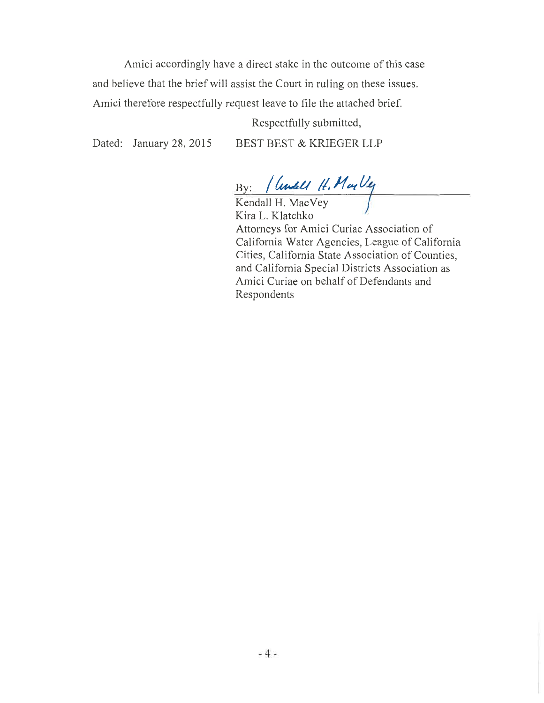Amici accordingly have a direct stake in the outcome of this case and believe that the brief will assist the Court in ruling on these issues. Amici therefore respectfully request leave to file the attached brief.

Respectfully submitted,

Dated: January 28, 2015 BEST BEST & KRIEGER LLP

By: *74g4.4a* 

Kendall H. MacVey Kira L. Klatchko Attorneys for Amici Curiae Association of California Water Agencies, League of California Cities, California State Association of Counties, and California Special Districts Association as Amici Curiae on behalf of Defendants and Respondents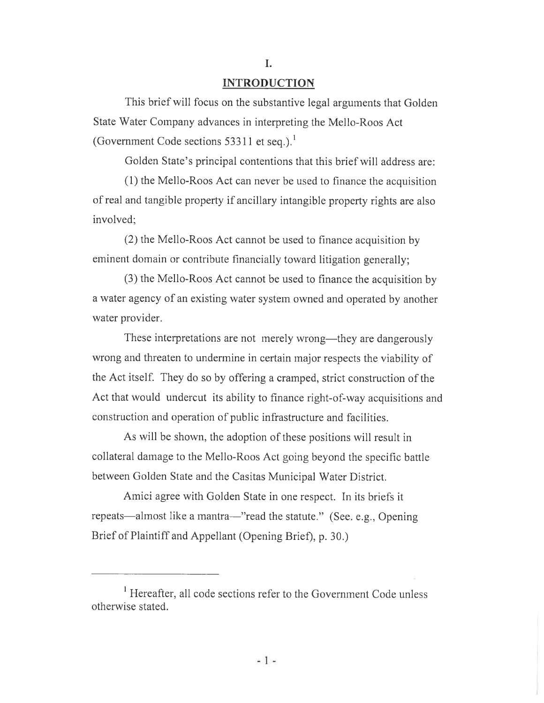#### **I.**

#### **INTRODUCTION**

This brief will focus on the substantive legal arguments that Golden State Water Company advances in interpreting the Mello-Roos Act (Government Code sections 53311 et seq.).<sup>1</sup>

Golden State's principal contentions that this brief will address are:

(1) the Mello-Roos Act can never be used to finance the acquisition of real and tangible property if ancillary intangible property rights are also involved;

(2) the Mello-Roos Act cannot be used to finance acquisition by eminent domain or contribute financially toward litigation generally;

(3) the Mello-Roos Act cannot be used to finance the acquisition by a water agency of an existing water system owned and operated by another water provider.

These interpretations are not merely wrong—they are dangerously wrong and threaten to undermine in certain major respects the viability of the Act itself. They do so by offering a cramped, strict construction of the Act that would undercut its ability to finance right-of-way acquisitions and construction and operation of public infrastructure and facilities.

As will be shown, the adoption of these positions will result in collateral damage to the Mello-Roos Act going beyond the specific battle between Golden State and the Casitas Municipal Water District.

Amici agree with Golden State in one respect. In its briefs it repeats—almost like a mantra—"read the statute." (See. e.g., Opening Brief of Plaintiff and Appellant (Opening Brief), p. 30.)

<sup>&</sup>lt;sup>1</sup> Hereafter, all code sections refer to the Government Code unless otherwise stated.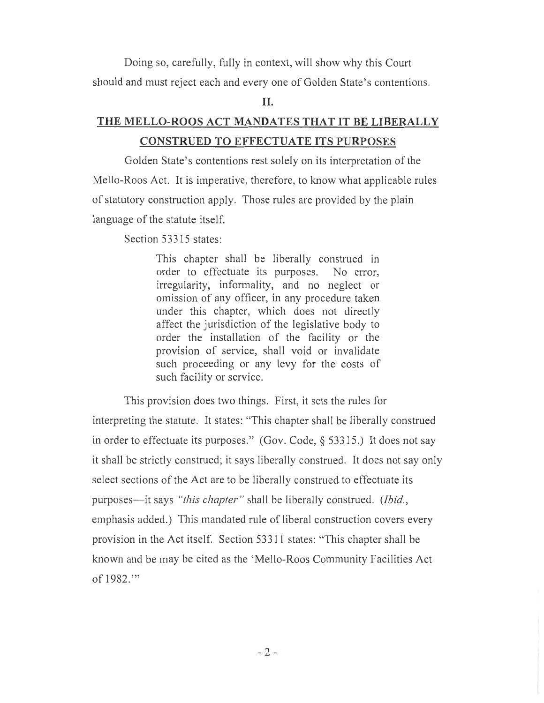Doing so, carefully, fully in context, will show why this Court should and must reject each and every one of Golden State's contentions.

#### II.

## THE MELLO-ROOS ACT MANDATES THAT IT BE LIBERALLY CONSTRUED TO EFFECTUATE ITS PURPOSES

Golden State's contentions rest solely on its interpretation of the Mello-Roos Act. It is imperative, therefore, to know what applicable rules of statutory construction apply. Those rules are provided by the plain language of the statute itself.

Section 53315 states:

This chapter shall be liberally construed in order to effectuate its purposes. No error, irregularity, informality, and no neglect or omission of any officer, in any procedure taken under this chapter, which does not directly affect the jurisdiction of the legislative body to order the installation of the facility or the provision of service, shall void or invalidate such proceeding or any levy for the costs of such facility or service.

This provision does two things. First, it sets the rules for interpreting the statute. It states: "This chapter shall be liberally construed in order to effectuate its purposes." (Gov. Code, § 53315.) It does not say it shall be strictly construed; it says liberally construed. It does not say only select sections of the Act are to be liberally construed to effectuate its purposes—it says *"this chapter"* shall be liberally construed. *(Ibid.,*  emphasis added.) This mandated rule of liberal construction covers every provision in the Act itself. Section 53311 states: "This chapter shall be known and be may be cited as the 'Mello-Roos Community Facilities Act of 1982."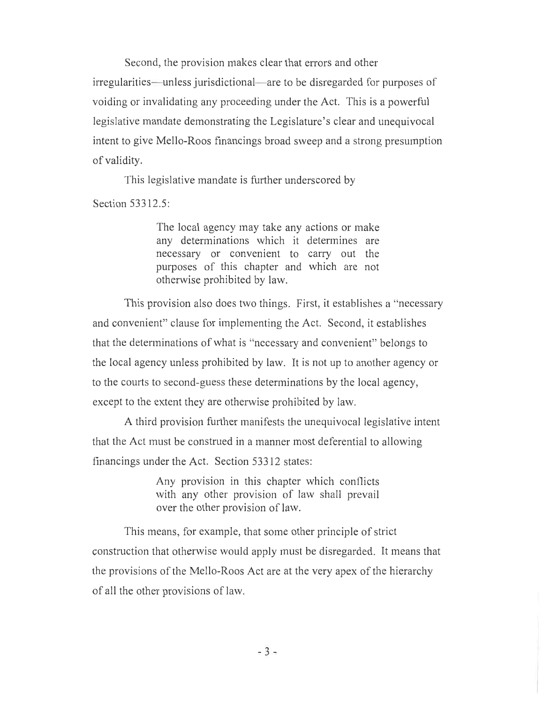Second, the provision makes clear that errors and other irregularities—unless jurisdictional—are to be disregarded for purposes of voiding or invalidating any proceeding under the Act. This is a powerful legislative mandate demonstrating the Legislature's clear and unequivocal intent to give Mello-Roos financings broad sweep and a strong presumption of validity.

This legislative mandate is further underscored by

Section 53312.5:

The local agency may take any actions or make any determinations which it determines are necessary or convenient to carry out the purposes of this chapter and which are not otherwise prohibited by law.

This provision also does two things. First, it establishes a "necessary and convenient" clause for implementing the Act. Second, it establishes that the determinations of what is "necessary and convenient" belongs to the local agency unless prohibited by law. It is not up to another agency or to the courts to second-guess these determinations by the local agency, except to the extent they are otherwise prohibited by law.

A third provision further manifests the unequivocal legislative intent that the Act must be construed in a manner most deferential to allowing financings under the Act. Section 53312 states:

> Any provision in this chapter which conflicts with any other provision of law shall prevail over the other provision of law.

This means, for example, that some other principle of strict construction that otherwise would apply must be disregarded. It means that the provisions of the Mello-Roos Act are at the very apex of the hierarchy of all the other provisions of law.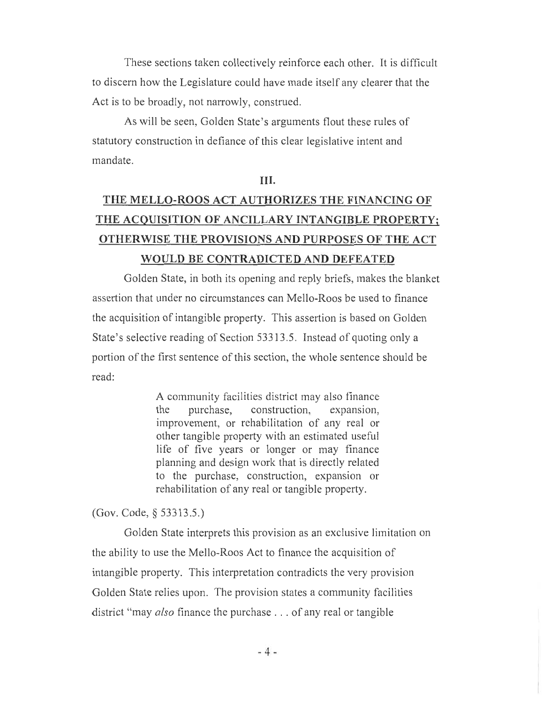These sections taken collectively reinforce each other. It is difficult to discern how the Legislature could have made itself any clearer that the Act is to be broadly, not narrowly, construed.

As will be seen, Golden State's arguments flout these rules of statutory construction in defiance of this clear legislative intent and mandate.

#### III.

# THE MELLO-ROOS ACT AUTHORIZES THE FINANCING OF THE ACQUISITION OF ANCILLARY INTANGIBLE PROPERTY; OTHERWISE THE PROVISIONS AND PURPOSES OF THE ACT WOULD BE CONTRADICTED AND DEFEATED

Golden State, in both its opening and reply briefs, makes the blanket assertion that under no circumstances can Mello-Roos be used to finance the acquisition of intangible property. This assertion is based on Golden State's selective reading of Section 53313.5. Instead of quoting only a portion of the first sentence of this section, the whole sentence should be read:

> A community facilities district may also finance the purchase, construction, expansion, improvement, or rehabilitation of any real or other tangible property with an estimated useful life of five years or longer or may finance planning and design work that is directly related to the purchase, construction, expansion or rehabilitation of any real or tangible property.

(Gov. Code, § 53313.5.)

Golden State interprets this provision as an exclusive limitation on the ability to use the Mello-Roos Act to finance the acquisition of intangible property. This interpretation contradicts the very provision Golden State relies upon. The provision states a community facilities district "may *also* finance the purchase . . . of any real or tangible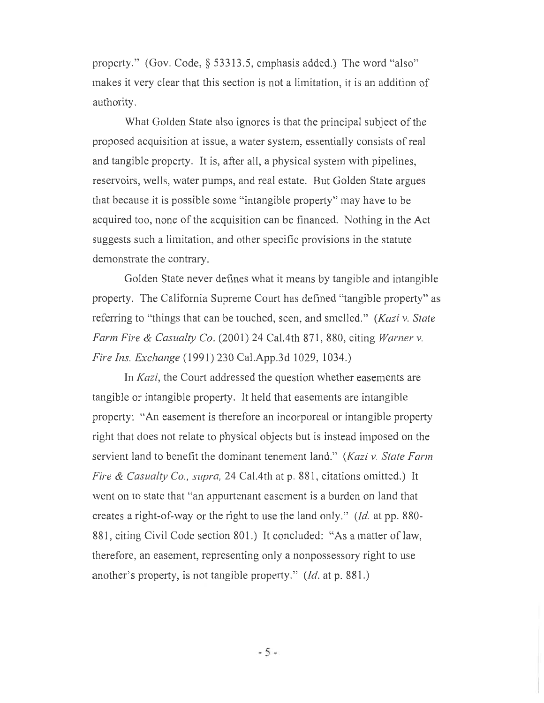property." (Gov. Code, § 53313.5, emphasis added.) The word "also" makes it very clear that this section is not a limitation, it is an addition of authority.

What Golden State also ignores is that the principal subject of the proposed acquisition at issue, a water system, essentially consists of real and tangible property. It is, after all, a physical system with pipelines, reservoirs, wells, water pumps, and real estate. But Golden State argues that because it is possible some "intangible property" may have to be acquired too, none of the acquisition can be financed. Nothing in the Act suggests such a limitation, and other specific provisions in the statute demonstrate the contrary.

Golden State never defines what it means by tangible and intangible property. The California Supreme Court has defined "tangible property" as referring to "things that can be touched, seen, and smelled." *(Kazi v. State Farm Fire & Casualty Co.* (2001) 24 Cal.4th 871, 880, citing *Warner v. Fire Ins. Exchange* (1991) 230 Cal.App.3d 1029, 1034.)

In *Kazi,* the Court addressed the question whether easements are tangible or intangible property. It held that easements are intangible property: "An easement is therefore an incorporeal or intangible property right that does not relate to physical objects but is instead imposed on the servient land to benefit the dominant tenement land." *(Kazi v. State Farm Fire & Casualty Co., supra,* 24 Ca1.4th at p. 881, citations omitted.) It went on to state that "an appurtenant easement is a burden on land that creates a right-of-way or the right to use the land only." *(Id.* at pp. 880- 881, citing Civil Code section 801.) It concluded: "As a matter of law, therefore, an easement, representing only a nonpossessory right to use another's property, is not tangible property." *(Id.* at p. 881.)

- 5 -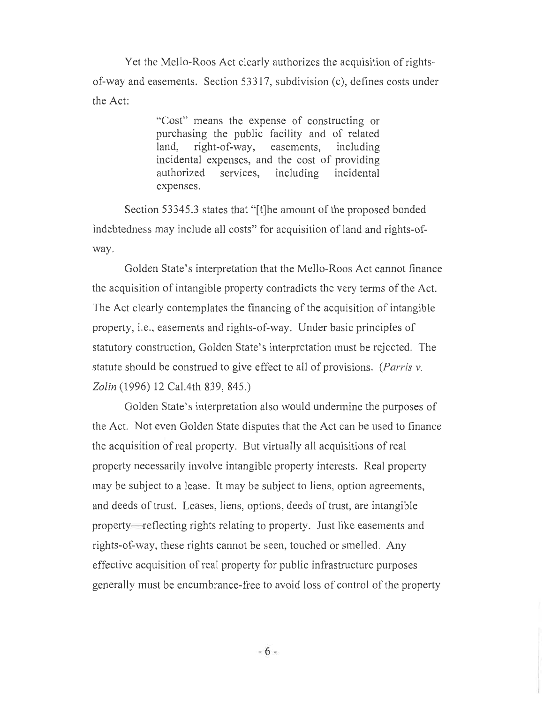Yet the Mello-Roos Act clearly authorizes the acquisition of rightsof-way and easements. Section 53317, subdivision (c), defines costs under the Act:

> "Cost" means the expense of constructing or purchasing the public facility and of related land, right-of-way, easements, including incidental expenses, and the cost of providing authorized services, including incidental expenses.

Section 53345.3 states that "[t]he amount of the proposed bonded indebtedness may include all costs" for acquisition of land and rights-ofway.

Golden State's interpretation that the Mello-Roos Act cannot finance the acquisition of intangible property contradicts the very terms of the Act. The Act clearly contemplates the financing of the acquisition of intangible property, i.e., easements and rights-of-way. Under basic principles of statutory construction, Golden State's interpretation must be rejected. The statute should be construed to give effect to all of provisions. *(Parris v. Zolin* (1996) 12 Ca1.4th 839, 845.)

Golden State's interpretation also would undermine the purposes of the Act. Not even Golden State disputes that the Act can be used to finance the acquisition of real property. But virtually all acquisitions of real property necessarily involve intangible property interests. Real property may be subject to a lease. It may be subject to liens, option agreements, and deeds of trust. Leases, liens, options, deeds of trust, are intangible property—reflecting rights relating to property. Just like easements and rights-of-way, these rights cannot be seen, touched or smelled. Any effective acquisition of real property for public infrastructure purposes generally must be encumbrance-free to avoid loss of control of the property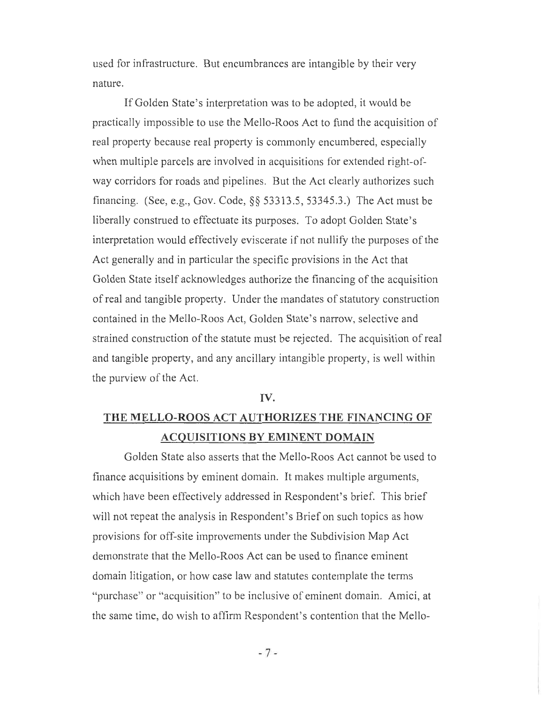used for infrastructure. But encumbrances are intangible by their very nature.

If Golden State's interpretation was to be adopted, it would be practically impossible to use the Mello-Roos Act to fund the acquisition of real property because real property is commonly encumbered, especially when multiple parcels are involved in acquisitions for extended right-ofway corridors for roads and pipelines. But the Act clearly authorizes such financing. (See, e.g., Gov. Code, §§ 53313.5, 53345.3.) The Act must be liberally construed to effectuate its purposes. To adopt Golden State's interpretation would effectively eviscerate if not nullify the purposes of the Act generally and in particular the specific provisions in the Act that Golden State itself acknowledges authorize the financing of the acquisition of real and tangible property. Under the mandates of statutory construction contained in the Mello-Roos Act, Golden State's narrow, selective and strained construction of the statute must be rejected. The acquisition of real and tangible property, and any ancillary intangible property, is well within the purview of the Act.

#### IV.

## THE MELLO-ROOS ACT AUTHORIZES THE FINANCING OF ACQUISITIONS BY EMINENT DOMAIN

Golden State also asserts that the Mello-Roos Act cannot be used to finance acquisitions by eminent domain. It makes multiple arguments, which have been effectively addressed in Respondent's brief. This brief will not repeat the analysis in Respondent's Brief on such topics as how provisions for off-site improvements under the Subdivision Map Act demonstrate that the Mello-Roos Act can be used to finance eminent domain litigation, or how case law and statutes contemplate the terms "purchase" or "acquisition" to be inclusive of eminent domain. Amici, at the same time, do wish to affirm Respondent's contention that the Mello-

 $-7-$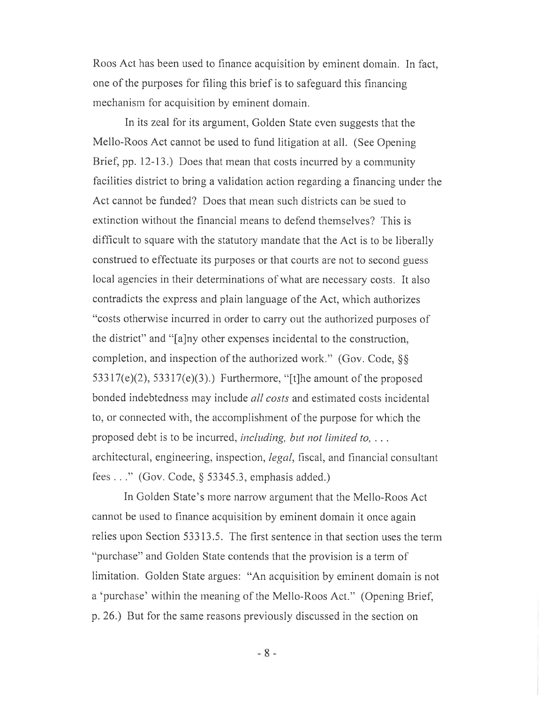Roos Act has been used to finance acquisition by eminent domain. In fact, one of the purposes for filing this brief is to safeguard this financing mechanism for acquisition by eminent domain.

In its zeal for its argument, Golden State even suggests that the Mello-Roos Act cannot be used to fund litigation at all. (See Opening Brief, pp. 12-13.) Does that mean that costs incurred by a community facilities district to bring a validation action regarding a financing under the Act cannot be funded? Does that mean such districts can be sued to extinction without the financial means to defend themselves? This is difficult to square with the statutory mandate that the Act is to be liberally construed to effectuate its purposes or that courts are not to second guess local agencies in their determinations of what are necessary costs. It also contradicts the express and plain language of the Act, which authorizes "costs otherwise incurred in order to carry out the authorized purposes of the district" and "[a]ny other expenses incidental to the construction, completion, and inspection of the authorized work." (Gov. Code, §§  $53317(e)(2)$ ,  $53317(e)(3)$ .) Furthermore, "[t]he amount of the proposed bonded indebtedness may include *all costs* and estimated costs incidental to, or connected with, the accomplishment of the purpose for which the proposed debt is to be incurred, *including, but not limited to, . . .*  architectural, engineering, inspection, *legal,* fiscal, and financial consultant fees  $\dots$ " (Gov. Code, § 53345.3, emphasis added.)

In Golden State's more narrow argument that the Mello-Roos Act cannot be used to finance acquisition by eminent domain it once again relies upon Section 53313.5. The first sentence in that section uses the term "purchase" and Golden State contends that the provision is a term of limitation. Golden State argues: "An acquisition by eminent domain is not a 'purchase' within the meaning of the Mello-Roos Act." (Opening Brief, p. 26.) But for the same reasons previously discussed in the section on

- 8 -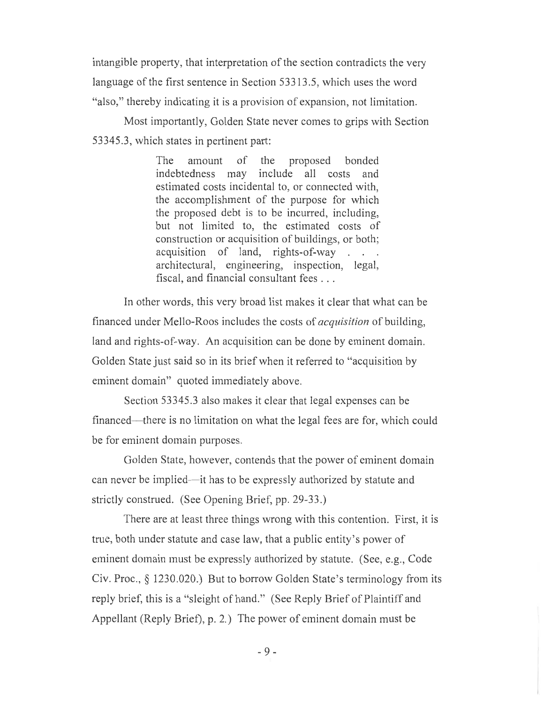intangible property, that interpretation of the section contradicts the very language of the first sentence in Section 53313.5, which uses the word "also," thereby indicating it is a provision of expansion, not limitation.

Most importantly, Golden State never comes to grips with Section 53345.3, which states in pertinent part:

> The amount of the proposed bonded indebtedness may include all costs and estimated costs incidental to, or connected with, the accomplishment of the purpose for which the proposed debt is to be incurred, including, but not limited to, the estimated costs of construction or acquisition of buildings, or both; acquisition of land, rights-of-way . . . architectural, engineering, inspection, legal, fiscal, and financial consultant fees . . .

In other words, this very broad list makes it clear that what can be financed under Mello-Roos includes the costs of *acquisition* of building, land and rights-of-way. An acquisition can be done by eminent domain. Golden State just said so in its brief when it referred to "acquisition by eminent domain" quoted immediately above.

Section 53345.3 also makes it clear that legal expenses can be financed—there is no limitation on what the legal fees are for, which could be for eminent domain purposes.

Golden State, however, contends that the power of eminent domain can never be implied—it has to be expressly authorized by statute and strictly construed. (See Opening Brief, pp. 29-33.)

There are at least three things wrong with this contention. First, it is true, both under statute and case law, that a public entity's power of eminent domain must be expressly authorized by statute. (See, e.g., Code Civ. Proc., § 1230.020.) But to borrow Golden State's terminology from its reply brief, this is a "sleight of hand." (See Reply Brief of Plaintiff and Appellant (Reply Brief), p. 2.) The power of eminent domain must be

 $-9-$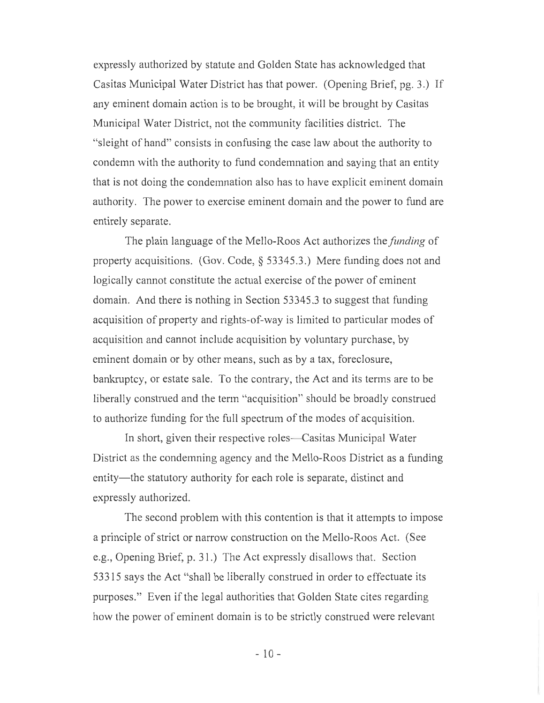expressly authorized by statute and Golden State has acknowledged that Casitas Municipal Water District has that power. (Opening Brief, pg. 3.) If any eminent domain action is to be brought, it will be brought by Casitas Municipal Water District, not the community facilities district. The "sleight of hand" consists in confusing the case law about the authority to condemn with the authority to fund condemnation and saying that an entity that is not doing the condemnation also has to have explicit eminent domain authority. The power to exercise eminent domain and the power to fund are entirely separate.

The plain language of the Mello-Roos Act authorizes the *funding* of property acquisitions. (Gov. Code, § 53345.3.) Mere funding does not and logically cannot constitute the actual exercise of the power of eminent domain. And there is nothing in Section 53345.3 to suggest that funding acquisition of property and rights-of-way is limited to particular modes of acquisition and cannot include acquisition by voluntary purchase, by eminent domain or by other means, such as by a tax, foreclosure, bankruptcy, or estate sale. To the contrary, the Act and its terms are to be liberally construed and the term "acquisition" should be broadly construed to authorize funding for the full spectrum of the modes of acquisition.

In short, given their respective roles—Casitas Municipal Water District as the condemning agency and the Mello-Roos District as a funding entity—the statutory authority for each role is separate, distinct and expressly authorized.

The second problem with this contention is that it attempts to impose a principle of strict or narrow construction on the Mello-Roos Act. (See e.g., Opening Brief, p. 31.) The Act expressly disallows that. Section 53315 says the Act "shall be liberally construed in order to effectuate its purposes." Even if the legal authorities that Golden State cites regarding how the power of eminent domain is to be strictly construed were relevant

- 10 -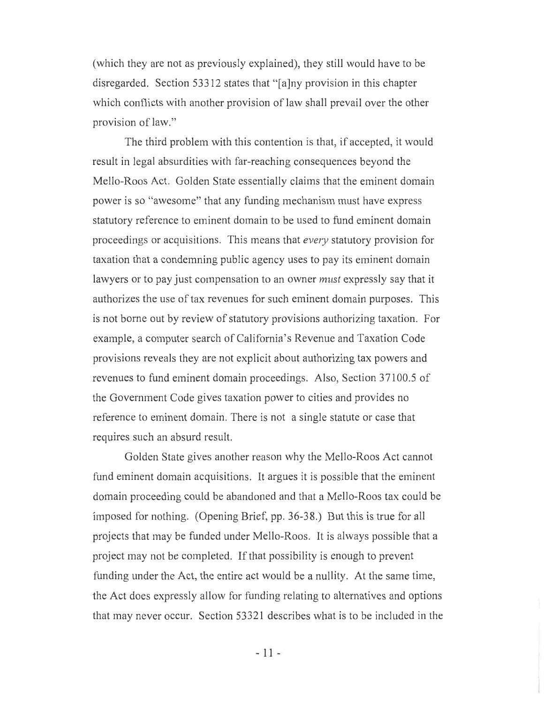(which they are not as previously explained), they still would have to be disregarded. Section 53312 states that "[ajny provision in this chapter which conflicts with another provision of law shall prevail over the other provision of law."

The third problem with this contention is that, if accepted, it would result in legal absurdities with far-reaching consequences beyond the Mello-Roos Act. Golden State essentially claims that the eminent domain power is so "awesome" that any funding mechanism must have express statutory reference to eminent domain to be used to fund eminent domain proceedings or acquisitions. This means that *every* statutory provision for taxation that a condemning public agency uses to pay its eminent domain lawyers or to pay just compensation to an owner *must* expressly say that it authorizes the use of tax revenues for such eminent domain purposes. This is not borne out by review of statutory provisions authorizing taxation. For example, a computer search of California's Revenue and Taxation Code provisions reveals they are not explicit about authorizing tax powers and revenues to fund eminent domain proceedings. Also, Section 37100.5 of the Government Code gives taxation power to cities and provides no reference to eminent domain. There is not a single statute or case that requires such an absurd result.

Golden State gives another reason why the Mello-Roos Act cannot fund eminent domain acquisitions. It argues it is possible that the eminent domain proceeding could be abandoned and that a Mello-Roos tax could be imposed for nothing. (Opening Brief, pp. 36-38.) But this is true for all projects that may be funded under Mello-Roos. It is always possible that a project may not be completed. If that possibility is enough to prevent funding under the Act, the entire act would be a nullity. At the same time, the Act does expressly allow for funding relating to alternatives and options that may never occur. Section 53321 describes what is to be included in the

-11-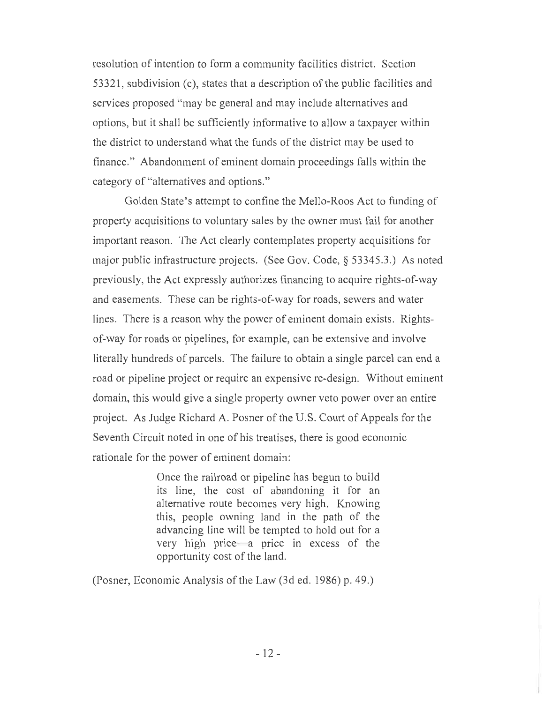resolution of intention to form a community facilities district. Section 53321, subdivision (c), states that a description of the public facilities and services proposed "may be general and may include alternatives and options, but it shall be sufficiently informative to allow a taxpayer within the district to understand what the funds of the district may be used to finance." Abandonment of eminent domain proceedings falls within the category of "alternatives and options."

Golden State's attempt to confine the Mello-Roos Act to funding of property acquisitions to voluntary sales by the owner must fail for another important reason. The Act clearly contemplates property acquisitions for major public infrastructure projects. (See Gov. Code, § 53345.3.) As noted previously, the Act expressly authorizes financing to acquire rights-of-way and easements. These can be rights-of-way for roads, sewers and water lines. There is a reason why the power of eminent domain exists. Rightsof-way for roads or pipelines, for example, can be extensive and involve literally hundreds of parcels. The failure to obtain a single parcel can end a road or pipeline project or require an expensive re-design. Without eminent domain, this would give a single property owner veto power over an entire project. As Judge Richard A. Posner of the U.S. Court of Appeals for the Seventh Circuit noted in one of his treatises, there is good economic rationale for the power of eminent domain:

> Once the railroad or pipeline has begun to build its line, the cost of abandoning it for an alternative route becomes very high. Knowing this, people owning land in the path of the advancing line will be tempted to hold out for a very high price—a price in excess of the opportunity cost of the land.

(Posner, Economic Analysis of the Law (3d ed. 1986) p. 49.)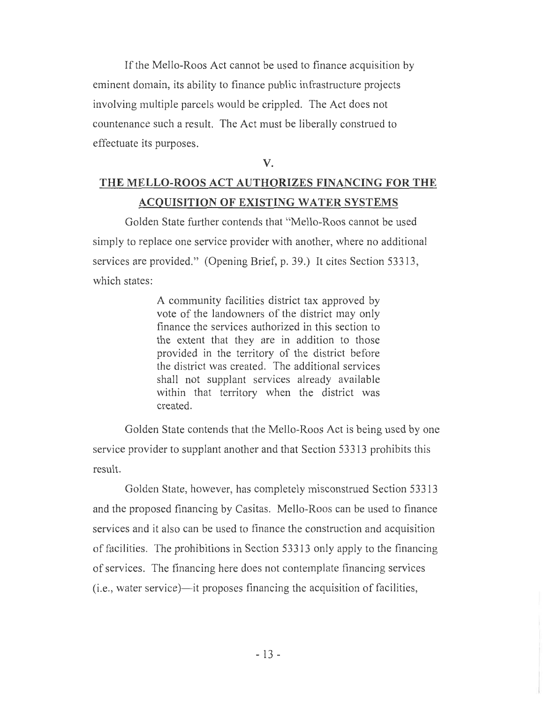If the Mello-Roos Act cannot be used to finance acquisition by eminent domain, its ability to finance public infrastructure projects involving multiple parcels would be crippled. The Act does not countenance such a result. The Act must be liberally construed to effectuate its purposes.

V.

## THE MELLO-ROOS ACT AUTHORIZES FINANCING FOR THE ACQUISITION OF EXISTING WATER SYSTEMS

Golden State further contends that "Mello-Roos cannot be used simply to replace one service provider with another, where no additional services are provided." (Opening Brief, p. 39.) It cites Section 53313, which states:

> A community facilities district tax approved by vote of the landowners of the district may only finance the services authorized in this section to the extent that they are in addition to those provided in the territory of the district before the district was created. The additional services shall not supplant services already available within that territory when the district was created.

Golden State contends that the Mello-Roos Act is being used by one service provider to supplant another and that Section 53313 prohibits this result.

Golden State, however, has completely misconstrued Section 53313 and the proposed financing by Casitas. Mello-Roos can be used to finance services and it also can be used to finance the construction and acquisition of facilities. The prohibitions in Section 53313 only apply to the financing of services. The financing here does not contemplate financing services (i.e., water service)—it proposes financing the acquisition of facilities,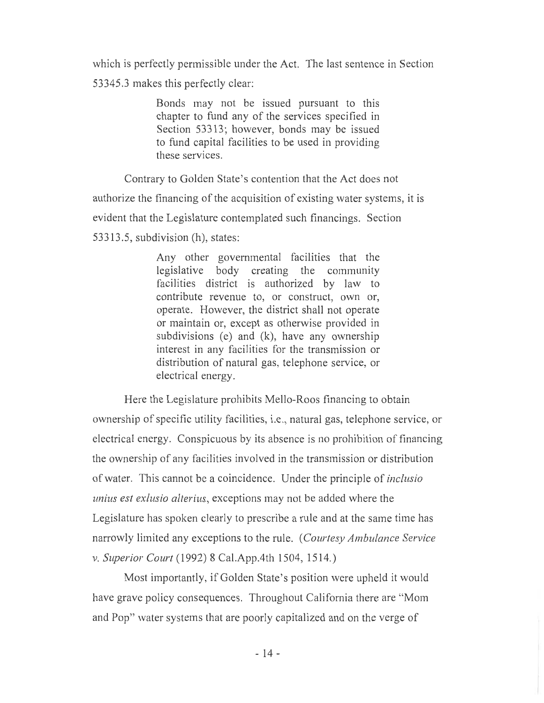which is perfectly permissible under the Act. The last sentence in Section

53345.3 makes this perfectly clear:

Bonds may not be issued pursuant to this chapter to fund any of the services specified in Section 53313; however, bonds may be issued to fund capital facilities to be used in providing these services.

Contrary to Golden State's contention that the Act does not

authorize the financing of the acquisition of existing water systems, it is

evident that the Legislature contemplated such financings. Section

53313.5, subdivision (h), states:

Any other governmental facilities that the legislative body creating the community facilities district is authorized by law to contribute revenue to, or construct, own or, operate. However, the district shall not operate or maintain or, except as otherwise provided in subdivisions (e) and (k), have any ownership interest in any facilities for the transmission or distribution of natural gas, telephone service, or electrical energy.

Here the Legislature prohibits Mello-Roos financing to obtain ownership of specific utility facilities, i.e., natural gas, telephone service, or electrical energy. Conspicuous by its absence is no prohibition of financing the ownership of any facilities involved in the transmission or distribution of water. This cannot be a coincidence. Under the principle of *inclusio unius est exlusio alterius,* exceptions may not be added where the Legislature has spoken clearly to prescribe a rule and at the same time has narrowly limited any exceptions to the rule. *(Courtesy Ambulance Service v. Superior Court* (1992) 8 Cal.App.4th 1504, 1514.)

Most importantly, if Golden State's position were upheld it would have grave policy consequences. Throughout California there are "Mom and Pop" water systems that are poorly capitalized and on the verge of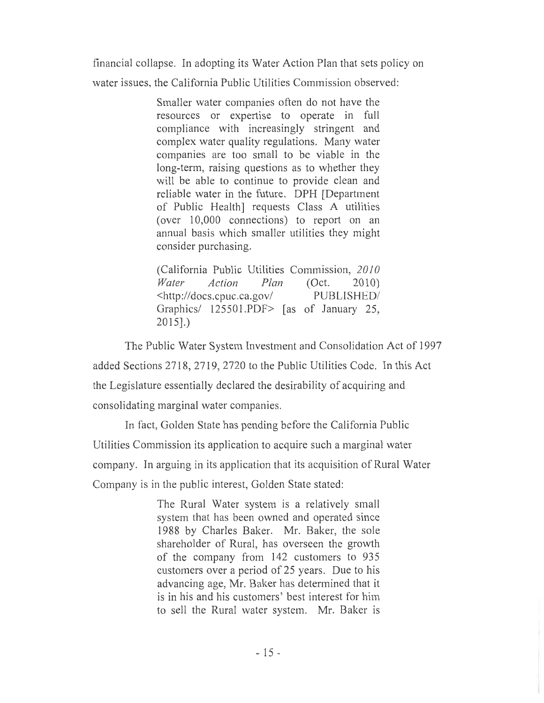financial collapse. In adopting its Water Action Plan that sets policy on

water issues. the California Public Utilities Commission observed:

Smaller water companies often do not have the resources or expertise to operate in full compliance with increasingly stringent and complex water quality regulations. Many water companies are too small to be viable in the long-term, raising questions as to whether they will be able to continue to provide clean and reliable water in the future. DPH [Department of Public Health] requests Class A utilities (over 10,000 connections) to report on an annual basis which smaller utilities they might consider purchasing.

(California Public Utilities Commission, *2010 Water Action Plan* (Oct. 2010) <http://docs.cpuc.ca.gov/ PUBLISHED Graphics/ 125501.PDF> [as of January 25, 2015].)

The Public Water System Investment and Consolidation Act of 1997 added Sections 2718, 2719, 2720 to the Public Utilities Code. In this Act the Legislature essentially declared the desirability of acquiring and consolidating marginal water companies.

In fact, Golden State has pending before the California Public Utilities Commission its application to acquire such a marginal water company. In arguing in its application that its acquisition of Rural Water Company is in the public interest, Golden State stated:

> The Rural Water system is a relatively small system that has been owned and operated since 1988 by Charles Baker. Mr. Baker, the sole shareholder of Rural, has overseen the growth of the company from 142 customers to 935 customers over a period of 25 years. Due to his advancing age, Mr. Baker has determined that it is in his and his customers' best interest for him to sell the Rural water system. Mr. Baker is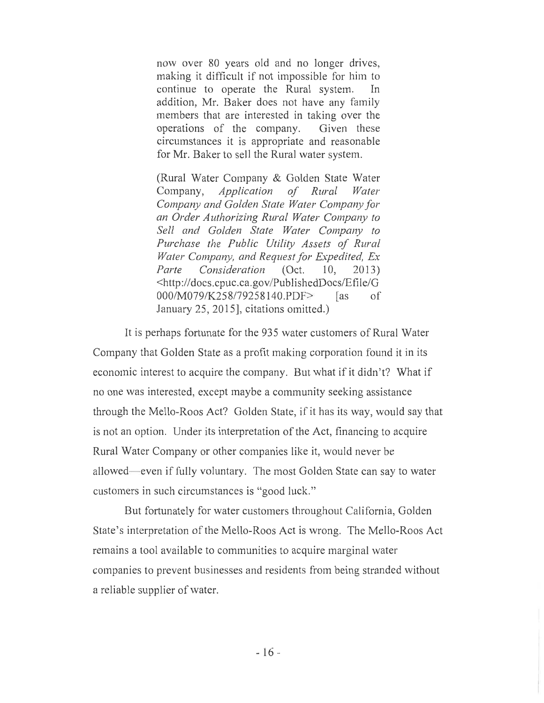now over 80 years old and no longer drives, making it difficult if not impossible for him to continue to operate the Rural system. In addition, Mr. Baker does not have any family members that are interested in taking over the operations of the company. Given these circumstances it is appropriate and reasonable for Mr. Baker to sell the Rural water system.

(Rural Water Company & Golden State Water Company, *Application of Rural Water Company and Golden State Water Company for an Order Authorizing Rural Water Company to Sell and Golden State Water Company to Purchase the Public Utility Assets of Rural Water Company, and Request for Expedited, Ex Parte Consideration* (Oct. 10, 2013) <http://docs.cpuc.ca.gov/PublishedDocs/Efile/G 000/M079/K258/79258140.PDF> [as of January 25, 2015], citations omitted.)

It is perhaps fortunate for the 935 water customers of Rural Water Company that Golden State as a profit making corporation found it in its economic interest to acquire the company. But what if it didn't? What if no one was interested, except maybe a community seeking assistance through the Mello-Roos Act? Golden State, if it has its way, would say that is not an option. Under its interpretation of the Act, financing to acquire Rural Water Company or other companies like it, would never be allowed—even if fully voluntary. The most Golden State can say to water customers in such circumstances is "good luck."

But fortunately for water customers throughout California, Golden State's interpretation of the Mello-Roos Act is wrong. The Mello-Roos Act remains a tool available to communities to acquire marginal water companies to prevent businesses and residents from being stranded without a reliable supplier of water.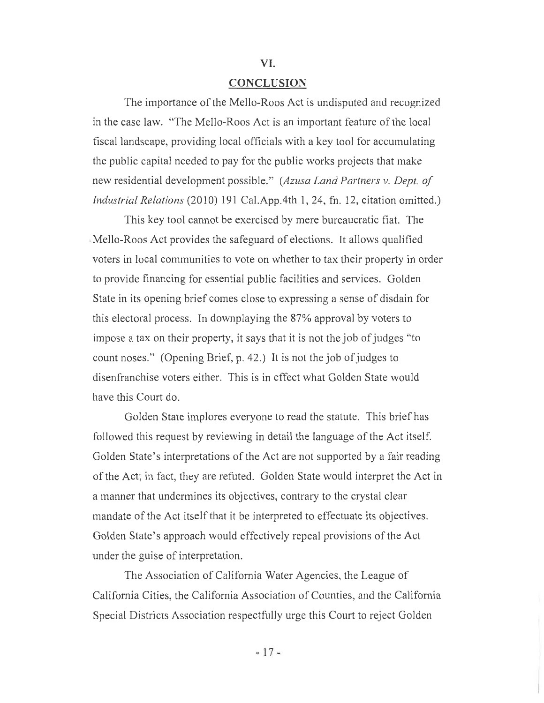#### **CONCLUSION**

VI.

The importance of the Mello-Roos Act is undisputed and recognized in the case law. "The Mello-Roos Act is an important feature of the local fiscal landscape, providing local officials with a key tool for accumulating the public capital needed to pay for the public works projects that make new residential development possible." *(Azusa Land Partners v. Dept. of Industrial Relations* (2010) 191 Cal.App.4th 1, 24, fn. 12, citation omitted.)

This key tool cannot be exercised by mere bureaucratic fiat. The Mello-Roos Act provides the safeguard of elections. It allows qualified voters in local communities to vote on whether to tax their property in order to provide financing for essential public facilities and services. Golden State in its opening brief comes close to expressing a sense of disdain for this electoral process. In downplaying the 87% approval by voters to impose a tax on their property, it says that it is not the job of judges "to count noses." (Opening Brief, p. 42.) It is not the job of judges to disenfranchise voters either. This is in effect what Golden State would have this Court do.

Golden State implores everyone to read the statute. This brief has followed this request by reviewing in detail the language of the Act itself Golden State's interpretations of the Act are not supported by a fair reading of the Act; in fact, they are refuted. Golden State would interpret the Act in a manner that undermines its objectives, contrary to the crystal clear mandate of the Act itself that it be interpreted to effectuate its objectives. Golden State's approach would effectively repeal provisions of the Act under the guise of interpretation.

The Association of California Water Agencies, the League of California Cities, the California Association of Counties, and the California Special Districts Association respectfully urge this Court to reject Golden

-17-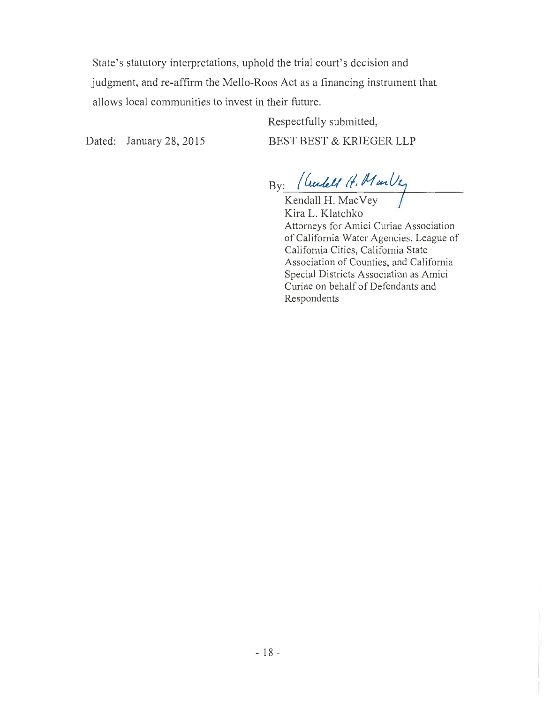State's statutory interpretations, uphold the trial court's decision and judgment, and re-affirm the Mello-Roos Act as a financing instrument that allows local communities to invest in their future.

Respectfully submitted, Dated: January 28, 2015 BEST BEST & KRIEGER LLP

By: *(6.ctia(* 44lie-t *<sup>047</sup>*

 $Kendall H. MacVey$ Kira L. Klatchko Attorneys for Amici Curiae Association of California Water Agencies, League of California Cities, California State Association of Counties, and California Special Districts Association as Amici Curiae on behalf of Defendants and Respondents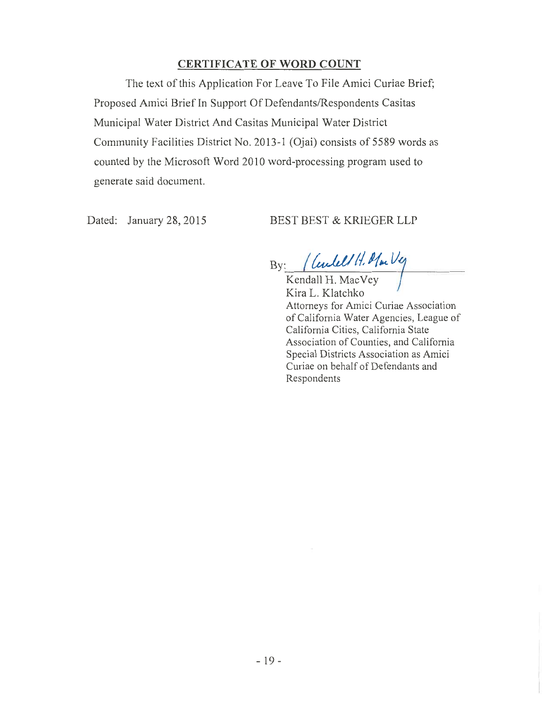### **CERTIFICATE OF WORD COUNT**

The text of this Application For Leave To File Amici Curiae Brief; Proposed Amici Brief In Support Of Defendants/Respondents Casitas Municipal Water District And Casitas Municipal Water District Community Facilities District No. 2013-1 (Ojai) consists of 5589 words as counted by the Microsoft Word 2010 word-processing program used to generate said document.

Dated: January 28, 2015 BEST BEST & KRIEGER LLP

By: *<i>/ Centel/ H. Mar* Veg

Kendall H. MacVey Kira L. Klatchko Attorneys for Amici Curiae Association of California Water Agencies, League of California Cities, California State Association of Counties, and California Special Districts Association as Amici Curiae on behalf of Defendants and Respondents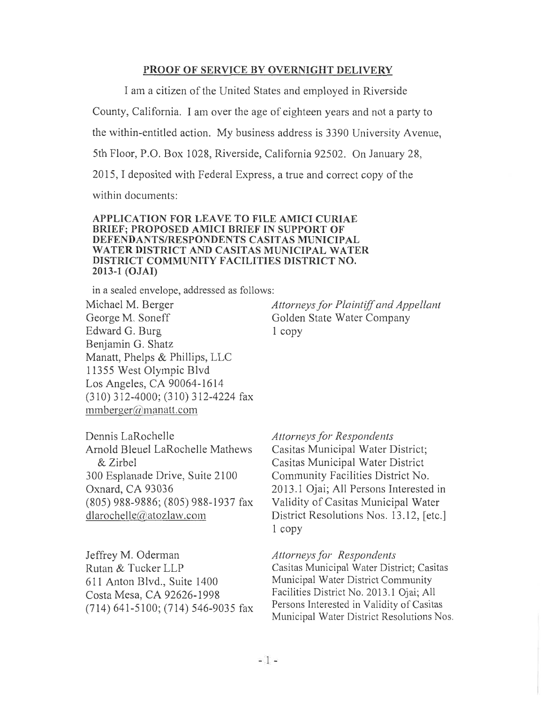#### PROOF OF SERVICE BY OVERNIGHT DELIVERY

I am a citizen of the United States and employed in Riverside

County, California. I am over the age of eighteen years and not a party to

the within-entitled action. My business address is 3390 University Avenue,

5th Floor, P.O. Box 1028, Riverside, California 92502. On January 28,

2015, I deposited with Federal Express, a true and correct copy of the

within documents:

#### APPLICATION FOR LEAVE TO FILE AMICI CURIAE BRIEF; PROPOSED AMICI BRIEF IN SUPPORT OF DEFENDANTS/RESPONDENTS CASITAS MUNICIPAL WATER DISTRICT AND CASITAS MUNICIPAL WATER DISTRICT COMMUNITY FACILITIES DISTRICT NO. 2013-1 (OJAI)

in a sealed envelope, addressed as follows:

Michael M. Berger George M. Soneff Edward G. Burg Benjamin G. Shatz Manatt, Phelps & Phillips, LLC 11355 West Olympic Blvd Los Angeles, CA 90064-1614 (310) 312-4000; (310) 312-4224 fax  $mmberger@manatt.com$ 

*Attorneys for Plaintiff and Appellant*  Golden State Water Company 1 copy

Dennis LaRochelle Arnold Bleuel LaRochelle Mathews *&* Zirbel 300 Esplanade Drive, Suite 2100 Oxnard, CA 93036 (805) 988-9886; (805) 988-1937 fax  $dlarochelle(a'atozlaw.com)$ 

Jeffrey M. Oderman Rutan & Tucker LLP 611 Anton Blvd., Suite 1400 Costa Mesa, CA 92626-1998 (714) 641-5100; (714) 546-9035 fax *Attorneys for Respondents* 

Casitas Municipal Water District; Casitas Municipal Water District Community Facilities District No. 2013.1 Ojai; All Persons Interested in Validity of Casitas Municipal Water District Resolutions Nos. 13.12, [etc.] 1 copy

*Attorneys for Respondents* 

Casitas Municipal Water District; Casitas Municipal Water District Community Facilities District No. 2013.1 Ojai; All Persons Interested in Validity of Casitas Municipal Water District Resolutions Nos.